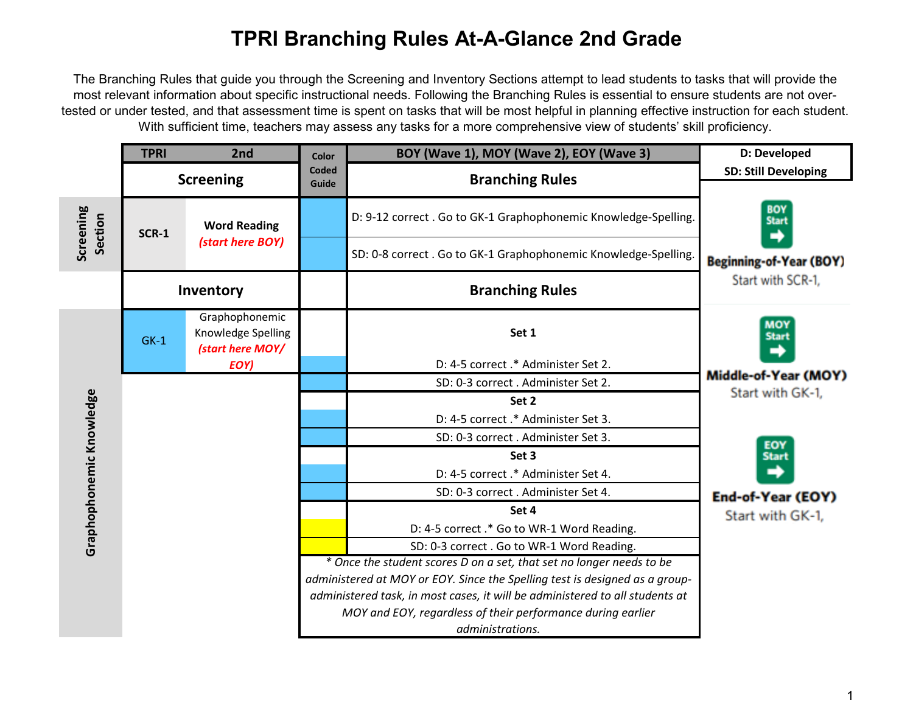## **TPRI Branching Rules At-A-Glance 2nd Grade**

The Branching Rules that guide you through the Screening and Inventory Sections attempt to lead students to tasks that will provide the most relevant information about specific instructional needs. Following the Branching Rules is essential to ensure students are not overtested or under tested, and that assessment time is spent on tasks that will be most helpful in planning effective instruction for each student. With sufficient time, teachers may assess any tasks for a more comprehensive view of students' skill proficiency.

|                          | <b>TPRI</b>      | 2nd                                                              | Color                                                                                                                                                                                                                               | BOY (Wave 1), MOY (Wave 2), EOY (Wave 3)                                        | D: Developed                                                      |
|--------------------------|------------------|------------------------------------------------------------------|-------------------------------------------------------------------------------------------------------------------------------------------------------------------------------------------------------------------------------------|---------------------------------------------------------------------------------|-------------------------------------------------------------------|
|                          | <b>Screening</b> |                                                                  | <b>Coded</b><br>Guide                                                                                                                                                                                                               | <b>Branching Rules</b>                                                          | <b>SD: Still Developing</b>                                       |
| Screening<br>Section     | <b>SCR-1</b>     | <b>Word Reading</b><br>(start here BOY)                          |                                                                                                                                                                                                                                     | D: 9-12 correct . Go to GK-1 Graphophonemic Knowledge-Spelling.                 | <b>BOY</b><br><b>Start</b><br>→<br><b>Beginning-of-Year (BOY)</b> |
|                          |                  |                                                                  |                                                                                                                                                                                                                                     | SD: 0-8 correct . Go to GK-1 Graphophonemic Knowledge-Spelling.                 |                                                                   |
|                          | Inventory        |                                                                  |                                                                                                                                                                                                                                     | <b>Branching Rules</b>                                                          | Start with SCR-1,                                                 |
| Graphophonemic Knowledge | $GK-1$           | Graphophonemic<br>Knowledge Spelling<br>(start here MOY/<br>EOY) |                                                                                                                                                                                                                                     | Set 1                                                                           | <b>MOY</b><br><b>Start</b><br>→                                   |
|                          |                  |                                                                  |                                                                                                                                                                                                                                     | D: 4-5 correct .* Administer Set 2.                                             |                                                                   |
|                          |                  |                                                                  |                                                                                                                                                                                                                                     | SD: 0-3 correct. Administer Set 2.                                              | Middle-of-Year (MOY)                                              |
|                          |                  |                                                                  |                                                                                                                                                                                                                                     | Set 2                                                                           | Start with GK-1,                                                  |
|                          |                  |                                                                  |                                                                                                                                                                                                                                     | D: 4-5 correct .* Administer Set 3.                                             |                                                                   |
|                          |                  |                                                                  |                                                                                                                                                                                                                                     | SD: 0-3 correct. Administer Set 3.                                              | EOY<br><b>Start</b>                                               |
|                          |                  |                                                                  |                                                                                                                                                                                                                                     | Set 3                                                                           |                                                                   |
|                          |                  |                                                                  |                                                                                                                                                                                                                                     | D: 4-5 correct .* Administer Set 4.                                             |                                                                   |
|                          |                  |                                                                  |                                                                                                                                                                                                                                     | SD: 0-3 correct. Administer Set 4.                                              | End-of-Year (EOY)                                                 |
|                          |                  |                                                                  |                                                                                                                                                                                                                                     | Set 4                                                                           | Start with GK-1,                                                  |
|                          |                  |                                                                  |                                                                                                                                                                                                                                     | D: 4-5 correct .* Go to WR-1 Word Reading.                                      |                                                                   |
|                          |                  |                                                                  |                                                                                                                                                                                                                                     | SD: 0-3 correct . Go to WR-1 Word Reading.                                      |                                                                   |
|                          |                  |                                                                  | * Once the student scores D on a set, that set no longer needs to be<br>administered at MOY or EOY. Since the Spelling test is designed as a group-<br>administered task, in most cases, it will be administered to all students at |                                                                                 |                                                                   |
|                          |                  |                                                                  |                                                                                                                                                                                                                                     |                                                                                 |                                                                   |
|                          |                  |                                                                  |                                                                                                                                                                                                                                     |                                                                                 |                                                                   |
|                          |                  |                                                                  |                                                                                                                                                                                                                                     | MOY and EOY, regardless of their performance during earlier<br>administrations. |                                                                   |
|                          |                  |                                                                  |                                                                                                                                                                                                                                     |                                                                                 |                                                                   |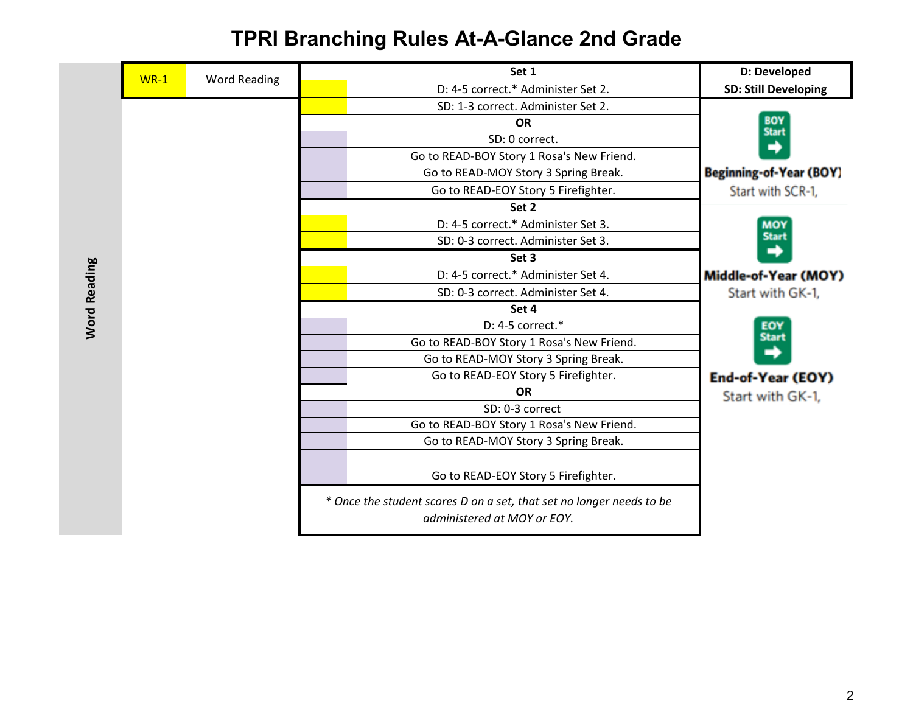**TPRI Branching Rules At-A-Glance 2nd Grade**

| $WR-1$ | <b>Word Reading</b> | Set 1                                                                                               | D: Developed                   |
|--------|---------------------|-----------------------------------------------------------------------------------------------------|--------------------------------|
|        |                     | D: 4-5 correct.* Administer Set 2.                                                                  | <b>SD: Still Developing</b>    |
|        |                     | SD: 1-3 correct. Administer Set 2.                                                                  |                                |
|        |                     | <b>OR</b>                                                                                           | <b>BOY</b><br><b>Start</b>     |
|        |                     | SD: 0 correct.                                                                                      | ➡                              |
|        |                     | Go to READ-BOY Story 1 Rosa's New Friend.                                                           |                                |
|        |                     | Go to READ-MOY Story 3 Spring Break.                                                                | <b>Beginning-of-Year (BOY)</b> |
|        |                     | Go to READ-EOY Story 5 Firefighter.                                                                 | Start with SCR-1,              |
|        |                     | Set 2                                                                                               |                                |
|        |                     | D: 4-5 correct.* Administer Set 3.                                                                  | <b>MOY</b>                     |
|        |                     | SD: 0-3 correct. Administer Set 3.                                                                  | <b>Start</b>                   |
|        |                     | Set 3                                                                                               |                                |
|        |                     | D: 4-5 correct.* Administer Set 4.                                                                  | Middle-of-Year (MOY)           |
|        |                     | SD: 0-3 correct. Administer Set 4.                                                                  | Start with GK-1,               |
|        |                     | Set 4                                                                                               |                                |
|        |                     | D: 4-5 correct.*                                                                                    | EOY                            |
|        |                     | Go to READ-BOY Story 1 Rosa's New Friend.                                                           | <b>Start</b>                   |
|        |                     | Go to READ-MOY Story 3 Spring Break.                                                                |                                |
|        |                     | Go to READ-EOY Story 5 Firefighter.                                                                 | End-of-Year (EOY)              |
|        |                     | <b>OR</b>                                                                                           | Start with GK-1,               |
|        |                     | SD: 0-3 correct                                                                                     |                                |
|        |                     | Go to READ-BOY Story 1 Rosa's New Friend.                                                           |                                |
|        |                     | Go to READ-MOY Story 3 Spring Break.                                                                |                                |
|        |                     | Go to READ-EOY Story 5 Firefighter.                                                                 |                                |
|        |                     | * Once the student scores D on a set, that set no longer needs to be<br>administered at MOY or EOY. |                                |